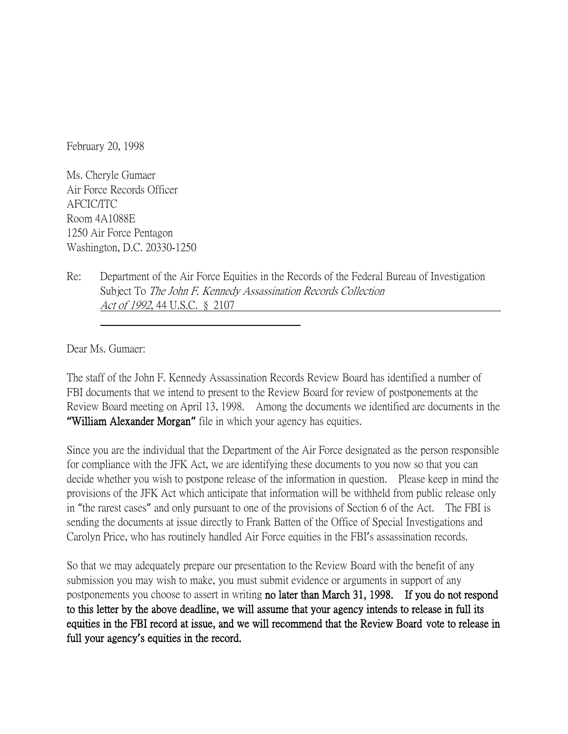February 20, 1998

Ms. Cheryle Gumaer Air Force Records Officer AFCIC/ITC Room 4A1088E 1250 Air Force Pentagon Washington, D.C. 20330-1250

Re: Department of the Air Force Equities in the Records of the Federal Bureau of Investigation Subject To The John F. Kennedy Assassination Records Collection Act of 1992, 44 U.S.C. § 2107

Dear Ms. Gumaer:

The staff of the John F. Kennedy Assassination Records Review Board has identified a number of FBI documents that we intend to present to the Review Board for review of postponements at the Review Board meeting on April 13, 1998. Among the documents we identified are documents in the **"**William Alexander Morgan**"** file in which your agency has equities.

Since you are the individual that the Department of the Air Force designated as the person responsible for compliance with the JFK Act, we are identifying these documents to you now so that you can decide whether you wish to postpone release of the information in question. Please keep in mind the provisions of the JFK Act which anticipate that information will be withheld from public release only in "the rarest cases" and only pursuant to one of the provisions of Section 6 of the Act. The FBI is sending the documents at issue directly to Frank Batten of the Office of Special Investigations and Carolyn Price, who has routinely handled Air Force equities in the FBI's assassination records.

So that we may adequately prepare our presentation to the Review Board with the benefit of any submission you may wish to make, you must submit evidence or arguments in support of any postponements you choose to assert in writing no later than March 31, 1998. If you do not respond to this letter by the above deadline, we will assume that your agency intends to release in full its equities in the FBI record at issue, and we will recommend that the Review Board vote to release in full your agency**'**s equities in the record.